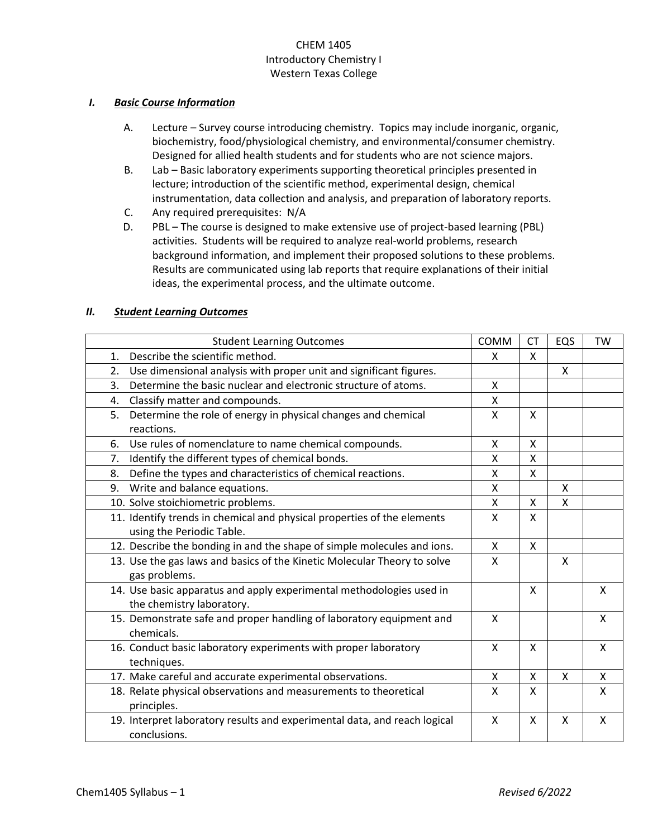# CHEM 1405 Introductory Chemistry I Western Texas College

# *I. Basic Course Information*

- A. Lecture Survey course introducing chemistry. Topics may include inorganic, organic, biochemistry, food/physiological chemistry, and environmental/consumer chemistry. Designed for allied health students and for students who are not science majors.
- B. Lab Basic laboratory experiments supporting theoretical principles presented in lecture; introduction of the scientific method, experimental design, chemical instrumentation, data collection and analysis, and preparation of laboratory reports.
- C. Any required prerequisites: N/A
- D. PBL The course is designed to make extensive use of project-based learning (PBL) activities. Students will be required to analyze real-world problems, research background information, and implement their proposed solutions to these problems. Results are communicated using lab reports that require explanations of their initial ideas, the experimental process, and the ultimate outcome.

# *II. Student Learning Outcomes*

| <b>Student Learning Outcomes</b>                                                                     | <b>COMM</b>  | <b>CT</b>                 | EQS          | <b>TW</b>    |
|------------------------------------------------------------------------------------------------------|--------------|---------------------------|--------------|--------------|
| Describe the scientific method.<br>1.                                                                | X            | X                         |              |              |
| Use dimensional analysis with proper unit and significant figures.<br>2.                             |              |                           | $\mathsf{x}$ |              |
| Determine the basic nuclear and electronic structure of atoms.<br>3.                                 | X            |                           |              |              |
| Classify matter and compounds.<br>4.                                                                 | X            |                           |              |              |
| Determine the role of energy in physical changes and chemical<br>5.<br>reactions.                    | $\mathsf{x}$ | X                         |              |              |
| Use rules of nomenclature to name chemical compounds.<br>6.                                          | X            | X                         |              |              |
| Identify the different types of chemical bonds.<br>7.                                                | X            | X                         |              |              |
| Define the types and characteristics of chemical reactions.<br>8.                                    | X            | X                         |              |              |
| Write and balance equations.<br>9.                                                                   | X            |                           | X            |              |
| 10. Solve stoichiometric problems.                                                                   | X            | X                         | $\mathsf{x}$ |              |
| 11. Identify trends in chemical and physical properties of the elements<br>using the Periodic Table. | X            | X                         |              |              |
| 12. Describe the bonding in and the shape of simple molecules and ions.                              | X            | X                         |              |              |
| 13. Use the gas laws and basics of the Kinetic Molecular Theory to solve<br>gas problems.            | X            |                           | X            |              |
| 14. Use basic apparatus and apply experimental methodologies used in<br>the chemistry laboratory.    |              | X                         |              | X            |
| 15. Demonstrate safe and proper handling of laboratory equipment and<br>chemicals.                   | X            |                           |              | X            |
| 16. Conduct basic laboratory experiments with proper laboratory<br>techniques.                       | $\mathsf{x}$ | $\boldsymbol{\mathsf{X}}$ |              | $\mathsf{X}$ |
| 17. Make careful and accurate experimental observations.                                             | X            | X                         | X            | X            |
| 18. Relate physical observations and measurements to theoretical<br>principles.                      | X            | X                         |              | $\mathsf{X}$ |
| 19. Interpret laboratory results and experimental data, and reach logical<br>conclusions.            | $\mathsf{x}$ | X                         | $\mathsf{x}$ | $\mathsf{x}$ |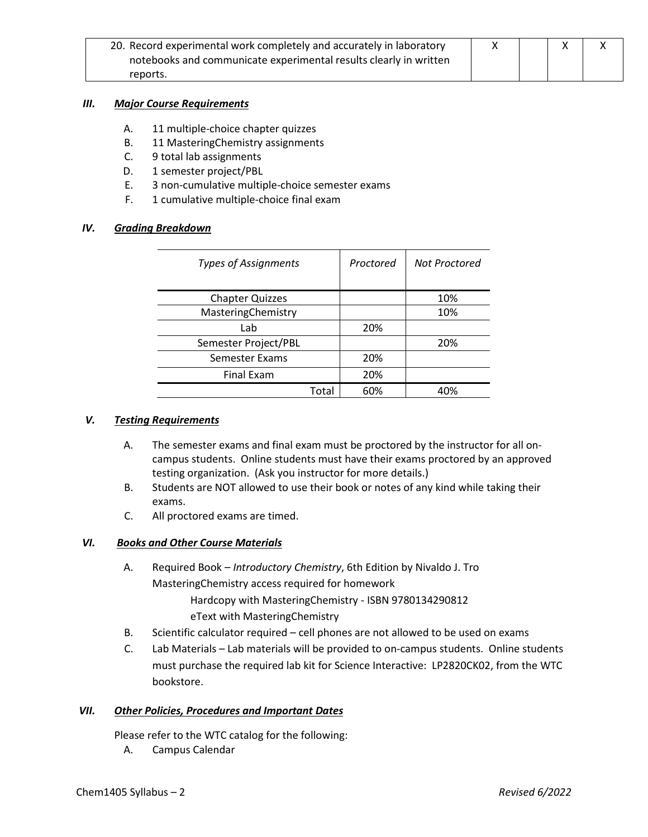| 20. Record experimental work completely and accurately in laboratory |  |  |  |
|----------------------------------------------------------------------|--|--|--|
| notebooks and communicate experimental results clearly in written    |  |  |  |
| reports.                                                             |  |  |  |

#### *III. Major Course Requirements*

- A. 11 multiple-choice chapter quizzes
- B. 11 MasteringChemistry assignments
- C. 9 total lab assignments
- D. 1 semester project/PBL
- E. 3 non-cumulative multiple-choice semester exams
- F. 1 cumulative multiple-choice final exam

# *IV. Grading Breakdown*

| <b>Types of Assignments</b> | Proctored | Not Proctored |
|-----------------------------|-----------|---------------|
|                             |           |               |
| <b>Chapter Quizzes</b>      |           | 10%           |
| MasteringChemistry          |           | 10%           |
| Lab                         | 20%       |               |
| Semester Project/PBL        |           | 20%           |
| Semester Exams              | 20%       |               |
| <b>Final Exam</b>           | 20%       |               |
| Total                       | 60%       | 40%           |

### *V. Testing Requirements*

- A. The semester exams and final exam must be proctored by the instructor for all oncampus students. Online students must have their exams proctored by an approved testing organization. (Ask you instructor for more details.)
- B. Students are NOT allowed to use their book or notes of any kind while taking their exams.
- C. All proctored exams are timed.

# *VI. Books and Other Course Materials*

- A. Required Book *Introductory Chemistry*, 6th Edition by Nivaldo J. Tro MasteringChemistry access required for homework Hardcopy with MasteringChemistry - ISBN 9780134290812 eText with MasteringChemistry
- B. Scientific calculator required cell phones are not allowed to be used on exams
- C. Lab Materials Lab materials will be provided to on-campus students. Online students must purchase the required lab kit for Science Interactive: LP2820CK02, from the WTC bookstore.

# *VII. Other Policies, Procedures and Important Dates*

Please refer to the WTC catalog for the following:

A. Campus Calendar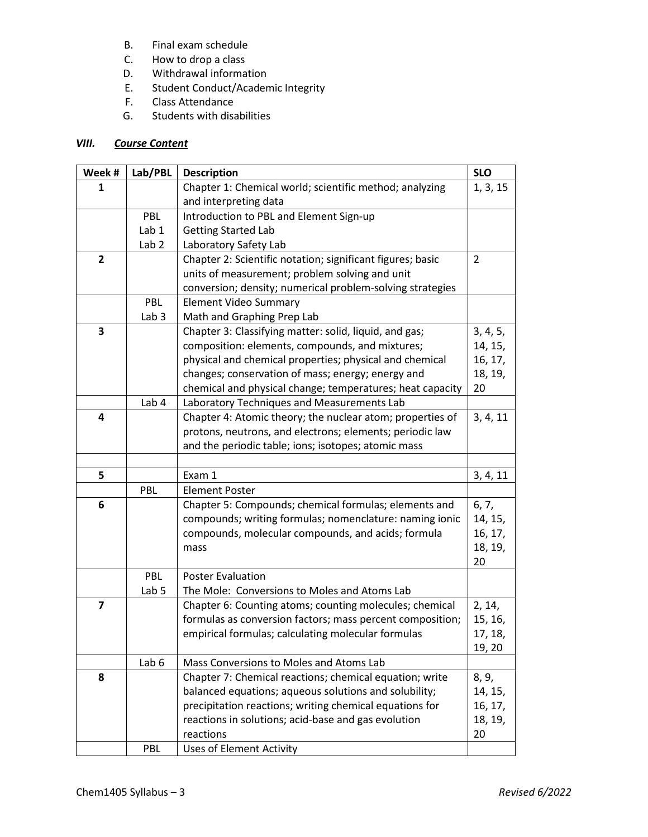- B. Final exam schedule
- C. How to drop a class
- D. Withdrawal information
- E. Student Conduct/Academic Integrity
- F. Class Attendance
- G. Students with disabilities

# *VIII. Course Content*

| Week #                  | Lab/PBL          | <b>Description</b>                                         | <b>SLO</b>     |
|-------------------------|------------------|------------------------------------------------------------|----------------|
| 1                       |                  | Chapter 1: Chemical world; scientific method; analyzing    | 1, 3, 15       |
|                         |                  | and interpreting data                                      |                |
|                         | PBL              | Introduction to PBL and Element Sign-up                    |                |
|                         | Lab 1            | <b>Getting Started Lab</b>                                 |                |
|                         | Lab <sub>2</sub> | Laboratory Safety Lab                                      |                |
| $\overline{2}$          |                  | Chapter 2: Scientific notation; significant figures; basic | $\overline{2}$ |
|                         |                  | units of measurement; problem solving and unit             |                |
|                         |                  | conversion; density; numerical problem-solving strategies  |                |
|                         | PBL              | <b>Element Video Summary</b>                               |                |
|                         | Lab <sub>3</sub> | Math and Graphing Prep Lab                                 |                |
| 3                       |                  | Chapter 3: Classifying matter: solid, liquid, and gas;     | 3, 4, 5,       |
|                         |                  | composition: elements, compounds, and mixtures;            | 14, 15,        |
|                         |                  | physical and chemical properties; physical and chemical    | 16, 17,        |
|                         |                  | changes; conservation of mass; energy; energy and          | 18, 19,        |
|                         |                  | chemical and physical change; temperatures; heat capacity  | 20             |
|                         | Lab 4            | Laboratory Techniques and Measurements Lab                 |                |
| 4                       |                  | Chapter 4: Atomic theory; the nuclear atom; properties of  | 3, 4, 11       |
|                         |                  | protons, neutrons, and electrons; elements; periodic law   |                |
|                         |                  | and the periodic table; ions; isotopes; atomic mass        |                |
|                         |                  |                                                            |                |
| 5                       |                  | Exam 1                                                     | 3, 4, 11       |
|                         | <b>PBL</b>       | <b>Element Poster</b>                                      |                |
| 6                       |                  | Chapter 5: Compounds; chemical formulas; elements and      | 6, 7,          |
|                         |                  | compounds; writing formulas; nomenclature: naming ionic    | 14, 15,        |
|                         |                  | compounds, molecular compounds, and acids; formula         | 16, 17,        |
|                         |                  | mass                                                       | 18, 19,        |
|                         |                  |                                                            | 20             |
|                         | PBL              | <b>Poster Evaluation</b>                                   |                |
|                         | Lab <sub>5</sub> | The Mole: Conversions to Moles and Atoms Lab               |                |
| $\overline{\mathbf{z}}$ |                  | Chapter 6: Counting atoms; counting molecules; chemical    | 2, 14,         |
|                         |                  | formulas as conversion factors; mass percent composition;  | 15, 16,        |
|                         |                  | empirical formulas; calculating molecular formulas         | 17, 18,        |
|                         |                  |                                                            | 19, 20         |
|                         | Lab <sub>6</sub> | Mass Conversions to Moles and Atoms Lab                    |                |
| 8                       |                  | Chapter 7: Chemical reactions; chemical equation; write    | 8, 9,          |
|                         |                  | balanced equations; aqueous solutions and solubility;      | 14, 15,        |
|                         |                  | precipitation reactions; writing chemical equations for    | 16, 17,        |
|                         |                  | reactions in solutions; acid-base and gas evolution        | 18, 19,        |
|                         |                  | reactions                                                  | 20             |
|                         | PBL              | <b>Uses of Element Activity</b>                            |                |